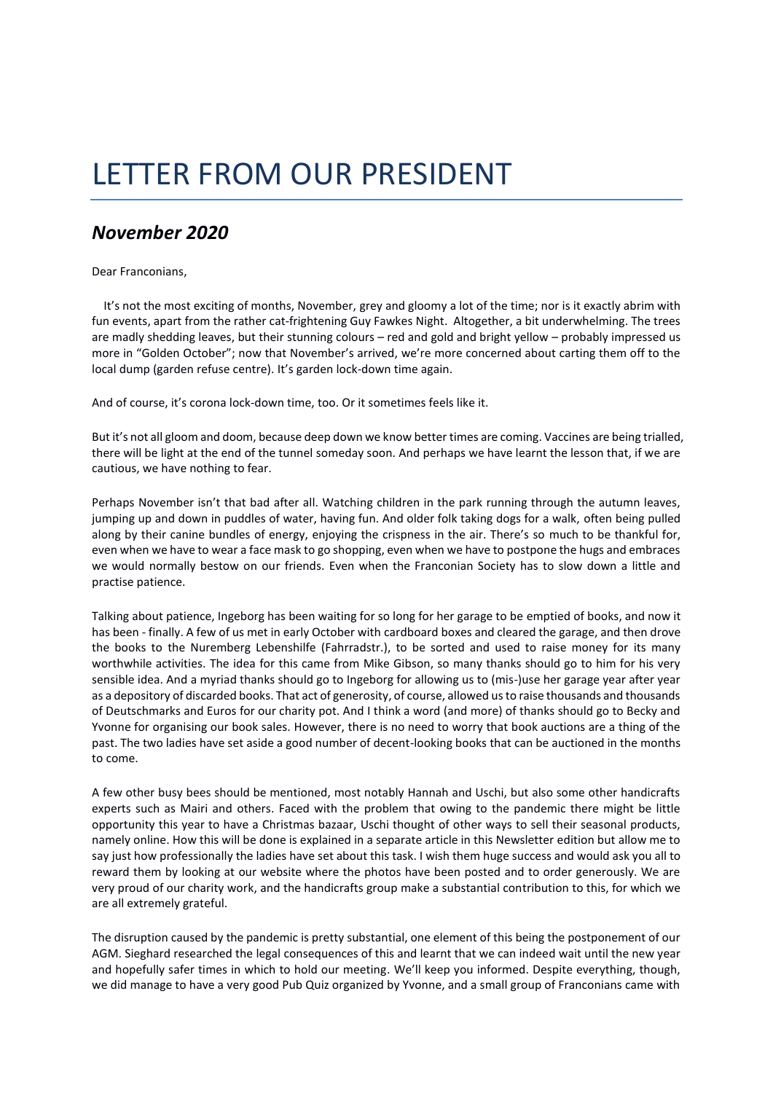## LETTER FROM OUR PRESIDENT

## *November 2020*

Dear Franconians,

 It's not the most exciting of months, November, grey and gloomy a lot of the time; nor is it exactly abrim with fun events, apart from the rather cat-frightening Guy Fawkes Night. Altogether, a bit underwhelming. The trees are madly shedding leaves, but their stunning colours – red and gold and bright yellow – probably impressed us more in "Golden October"; now that November's arrived, we're more concerned about carting them off to the local dump (garden refuse centre). It's garden lock-down time again.

And of course, it's corona lock-down time, too. Or it sometimes feels like it.

But it's not all gloom and doom, because deep down we know better times are coming. Vaccines are being trialled, there will be light at the end of the tunnel someday soon. And perhaps we have learnt the lesson that, if we are cautious, we have nothing to fear.

Perhaps November isn't that bad after all. Watching children in the park running through the autumn leaves, jumping up and down in puddles of water, having fun. And older folk taking dogs for a walk, often being pulled along by their canine bundles of energy, enjoying the crispness in the air. There's so much to be thankful for, even when we have to wear a face mask to go shopping, even when we have to postpone the hugs and embraces we would normally bestow on our friends. Even when the Franconian Society has to slow down a little and practise patience.

Talking about patience, Ingeborg has been waiting for so long for her garage to be emptied of books, and now it has been - finally. A few of us met in early October with cardboard boxes and cleared the garage, and then drove the books to the Nuremberg Lebenshilfe (Fahrradstr.), to be sorted and used to raise money for its many worthwhile activities. The idea for this came from Mike Gibson, so many thanks should go to him for his very sensible idea. And a myriad thanks should go to Ingeborg for allowing us to (mis-)use her garage year after year as a depository of discarded books. That act of generosity, of course, allowed us to raise thousands and thousands of Deutschmarks and Euros for our charity pot. And I think a word (and more) of thanks should go to Becky and Yvonne for organising our book sales. However, there is no need to worry that book auctions are a thing of the past. The two ladies have set aside a good number of decent-looking books that can be auctioned in the months to come.

A few other busy bees should be mentioned, most notably Hannah and Uschi, but also some other handicrafts experts such as Mairi and others. Faced with the problem that owing to the pandemic there might be little opportunity this year to have a Christmas bazaar, Uschi thought of other ways to sell their seasonal products, namely online. How this will be done is explained in a separate article in this Newsletter edition but allow me to say just how professionally the ladies have set about this task. I wish them huge success and would ask you all to reward them by looking at our website where the photos have been posted and to order generously. We are very proud of our charity work, and the handicrafts group make a substantial contribution to this, for which we are all extremely grateful.

The disruption caused by the pandemic is pretty substantial, one element of this being the postponement of our AGM. Sieghard researched the legal consequences of this and learnt that we can indeed wait until the new year and hopefully safer times in which to hold our meeting. We'll keep you informed. Despite everything, though, we did manage to have a very good Pub Quiz organized by Yvonne, and a small group of Franconians came with